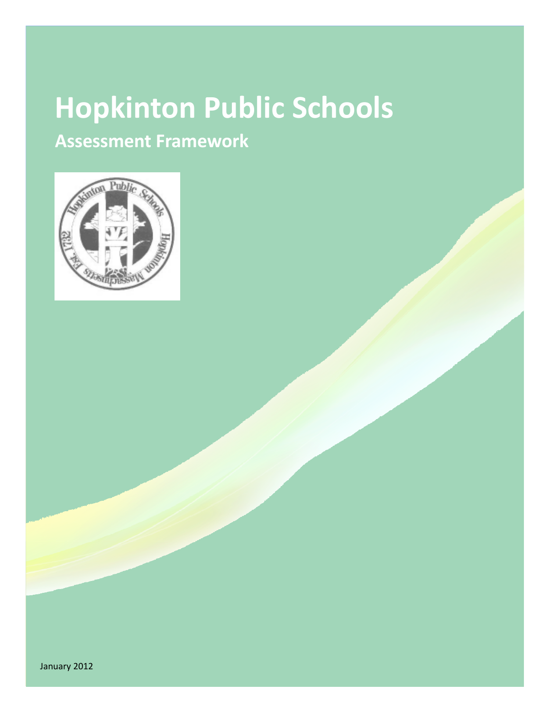# **Hopkinton Public Schools**

**Assessment Framework**



January 2012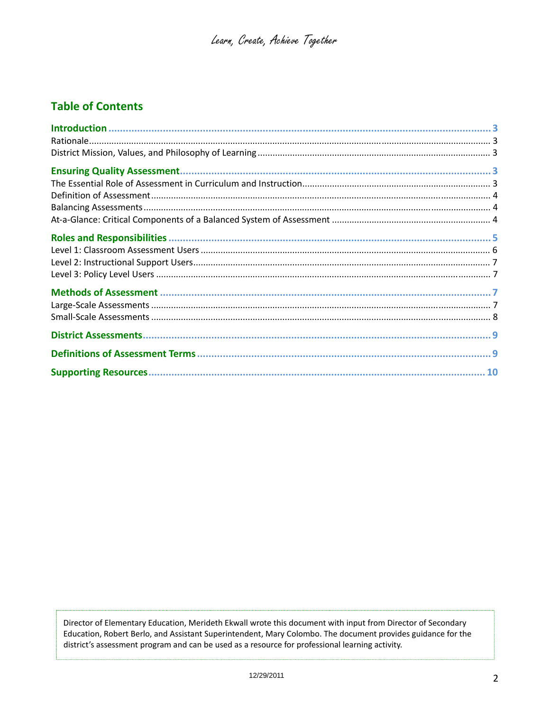# **Table of Contents**

Director of Elementary Education, Merideth Ekwall wrote this document with input from Director of Secondary Education, Robert Berlo, and Assistant Superintendent, Mary Colombo. The document provides guidance for the district's assessment program and can be used as a resource for professional learning activity.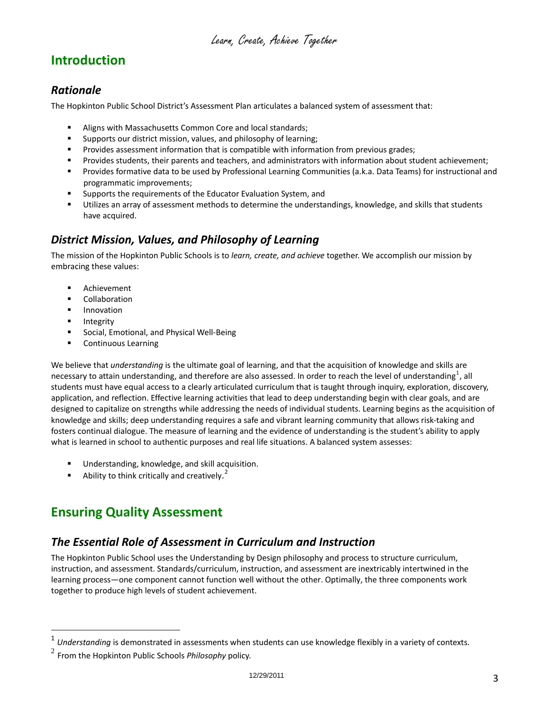# <span id="page-2-0"></span>**Introduction**

#### <span id="page-2-1"></span>*Rationale*

The Hopkinton Public School District's Assessment Plan articulates a balanced system of assessment that:

- Aligns with Massachusetts Common Core and local standards;<br>
Sunnorts our district mission, values, and philosophy of learnir
- Supports our district mission, values, and philosophy of learning;
- **Provides assessment information that is compatible with information from previous grades;**
- Provides students, their parents and teachers, and administrators with information about student achievement;
- Provides formative data to be used by Professional Learning Communities (a.k.a. Data Teams) for instructional and programmatic improvements;
- Supports the requirements of the Educator Evaluation System, and
- Utilizes an array of assessment methods to determine the understandings, knowledge, and skills that students have acquired.

#### <span id="page-2-2"></span>*District Mission, Values, and Philosophy of Learning*

The mission of the Hopkinton Public Schools is to *learn, create, and achieve* together. We accomplish our mission by embracing these values:

- **Achievement**
- **E** Collaboration
- **Innovation**
- **Integrity**

 $\overline{a}$ 

- Social, Emotional, and Physical Well-Being
- **•** Continuous Learning

We believe that *understanding* is the ultimate goal of learning, and that the acquisition of knowledge and skills are necessary to attain understanding, and therefore are also assessed. In order to reach the level of understanding<sup>[1](#page-2-5)</sup>, all students must have equal access to a clearly articulated curriculum that is taught through inquiry, exploration, discovery, application, and reflection. Effective learning activities that lead to deep understanding begin with clear goals, and are designed to capitalize on strengths while addressing the needs of individual students. Learning begins as the acquisition of knowledge and skills; deep understanding requires a safe and vibrant learning community that allows risk‐taking and fosters continual dialogue. The measure of learning and the evidence of understanding is the student's ability to apply what is learned in school to authentic purposes and real life situations. A balanced system assesses:

- **Understanding, knowledge, and skill acquisition.**
- Ability to think critically and creatively.<sup>[2](#page-2-6)</sup>

# <span id="page-2-3"></span>**Ensuring Quality Assessment**

#### <span id="page-2-4"></span>*The Essential Role of Assessment in Curriculum and Instruction*

The Hopkinton Public School uses the Understanding by Design philosophy and process to structure curriculum, instruction, and assessment. Standards/curriculum, instruction, and assessment are inextricably intertwined in the learning process—one component cannot function well without the other. Optimally, the three components work together to produce high levels of student achievement.

<span id="page-2-5"></span><sup>&</sup>lt;sup>1</sup> *Understanding* is demonstrated in assessments when students can use knowledge flexibly in a variety of contexts.<br><sup>2</sup> From the Hopkinton Public Schools *Philosophy* policy.

<span id="page-2-6"></span>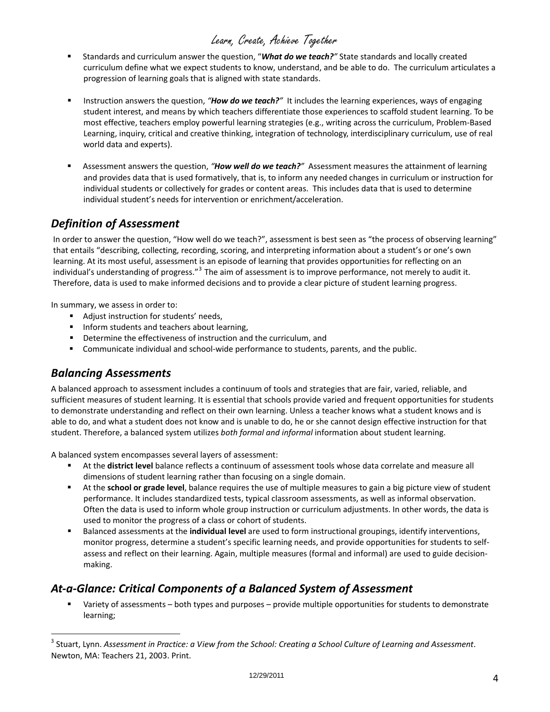- Standards and curriculum answer the question, "*What do we teach?"* State standards and locally created curriculum define what we expect students to know, understand, and be able to do. The curriculum articulates a progression of learning goals that is aligned with state standards.
- **IDED** Instruction answers the question, "*How do we teach?*" It includes the learning experiences, ways of engaging student interest, and means by which teachers differentiate those experiences to scaffold student learning. To be most effective, teachers employ powerful learning strategies (e.g., writing across the curriculum, Problem‐Based Learning, inquiry, critical and creative thinking, integration of technology, interdisciplinary curriculum, use of real world data and experts).
- Assessment answers the question, *"How well do we teach?"* Assessment measures the attainment of learning and provides data that is used formatively, that is, to inform any needed changes in curriculum or instruction for individual students or collectively for grades or content areas. This includes data that is used to determine individual student's needs for intervention or enrichment/acceleration.

#### <span id="page-3-0"></span>*Definition of Assessment*

In order to answer the question, "How well do we teach?", assessment is best seen as "the process of observing learning" that entails "describing, collecting, recording, scoring, and interpreting information about a student's or one's own learning. At its most useful, assessment is an episode of learning that provides opportunities for reflecting on an individual's understanding of progress."<sup>[3](#page-3-3)</sup> The aim of assessment is to improve performance, not merely to audit it. Therefore, data is used to make informed decisions and to provide a clear picture of student learning progress.

In summary, we assess in order to:

- Adjust instruction for students' needs,
- **Inform students and teachers about learning,**
- **P** Determine the effectiveness of instruction and the curriculum, and
- Communicate individual and school-wide performance to students, parents, and the public.

#### <span id="page-3-1"></span>*Balancing Assessments*

 $\overline{a}$ 

A balanced approach to assessment includes a continuum of tools and strategies that are fair, varied, reliable, and sufficient measures of student learning. It is essential that schools provide varied and frequent opportunities for students to demonstrate understanding and reflect on their own learning. Unless a teacher knows what a student knows and is able to do, and what a student does not know and is unable to do, he or she cannot design effective instruction for that student. Therefore, a balanced system utilizes *both formal and informal* information about student learning.

A balanced system encompasses several layers of assessment:

- At the **district level** balance reflects a continuum of assessment tools whose data correlate and measure all dimensions of student learning rather than focusing on a single domain.
- At the **school or grade level**, balance requires the use of multiple measures to gain a big picture view of student performance. It includes standardized tests, typical classroom assessments, as well as informal observation. Often the data is used to inform whole group instruction or curriculum adjustments. In other words, the data is used to monitor the progress of a class or cohort of students.
- Balanced assessments at the **individual level** are used to form instructional groupings, identify interventions, monitor progress, determine a student's specific learning needs, and provide opportunities for students to self‐ assess and reflect on their learning. Again, multiple measures (formal and informal) are used to guide decision‐ making.

#### <span id="page-3-2"></span>*At‐a‐Glance: Critical Components of a Balanced System of Assessment*

 Variety of assessments – both types and purposes – provide multiple opportunities for students to demonstrate learning;

<span id="page-3-3"></span> $^3$  Stuart, Lynn. Assessment in Practice: a View from the School: Creating a School Culture of Learning and Assessment. Newton, MA: Teachers 21, 2003. Print.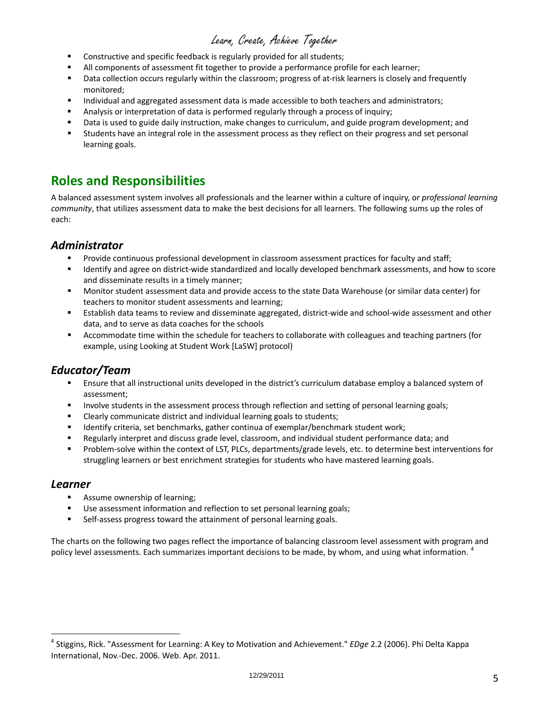- Constructive and specific feedback is regularly provided for all students;
- All components of assessment fit together to provide a performance profile for each learner;
- Data collection occurs regularly within the classroom; progress of at-risk learners is closely and frequently monitored;
- **Individual and aggregated assessment data is made accessible to both teachers and administrators;**
- Analysis or interpretation of data is performed regularly through a process of inquiry;
- Data is used to guide daily instruction, make changes to curriculum, and guide program development; and
- Students have an integral role in the assessment process as they reflect on their progress and set personal learning goals.

## <span id="page-4-0"></span>**Roles and Responsibilities**

A balanced assessment system involves all professionals and the learner within a culture of inquiry, or *professional learning community*, that utilizes assessment data to make the best decisions for all learners. The following sums up the roles of each:

#### *Administrator*

- Provide continuous professional development in classroom assessment practices for faculty and staff;
- Identify and agree on district-wide standardized and locally developed benchmark assessments, and how to score and disseminate results in a timely manner;
- Monitor student assessment data and provide access to the state Data Warehouse (or similar data center) for teachers to monitor student assessments and learning;
- Establish data teams to review and disseminate aggregated, district-wide and school-wide assessment and other data, and to serve as data coaches for the schools
- Accommodate time within the schedule for teachers to collaborate with colleagues and teaching partners (for example, using Looking at Student Work [LaSW] protocol)

#### *Educator/Team*

- Ensure that all instructional units developed in the district's curriculum database employ a balanced system of assessment;
- **Involve students in the assessment process through reflection and setting of personal learning goals;**
- Clearly communicate district and individual learning goals to students;
- Identify criteria, set benchmarks, gather continua of exemplar/benchmark student work;
- Regularly interpret and discuss grade level, classroom, and individual student performance data; and
- Problem-solve within the context of LST, PLCs, departments/grade levels, etc. to determine best interventions for struggling learners or best enrichment strategies for students who have mastered learning goals.

#### *Learner*

 $\overline{a}$ 

- **Assume ownership of learning;**
- Use assessment information and reflection to set personal learning goals;
- Self-assess progress toward the attainment of personal learning goals.

The charts on the following two pages reflect the importance of balancing classroom level assessment with program and policy level assessments. Each summarizes important decisions to be made, by whom, and using what information. <sup>[4](#page-4-1)</sup>

<span id="page-4-1"></span><sup>4</sup> Stiggins, Rick. "Assessment for Learning: A Key to Motivation and Achievement." *EDge* 2.2 (2006). Phi Delta Kappa International, Nov.‐Dec. 2006. Web. Apr. 2011.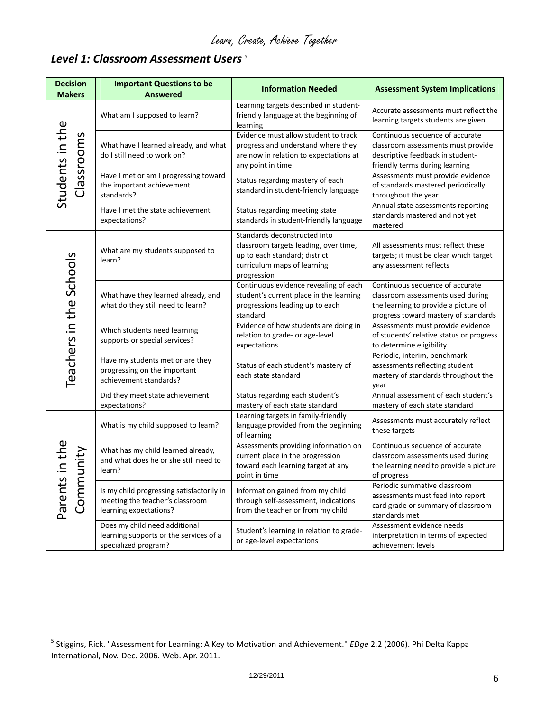## <span id="page-5-0"></span>*Level 1: Classroom Assessment Users* [5](#page-5-1)

 $\overline{a}$ 

| <b>Decision</b><br><b>Makers</b> | <b>Important Questions to be</b><br><b>Answered</b>                                                    | <b>Information Needed</b>                                                                                                                            | <b>Assessment System Implications</b>                                                                                                                |
|----------------------------------|--------------------------------------------------------------------------------------------------------|------------------------------------------------------------------------------------------------------------------------------------------------------|------------------------------------------------------------------------------------------------------------------------------------------------------|
|                                  | What am I supposed to learn?                                                                           | Learning targets described in student-<br>friendly language at the beginning of<br>learning                                                          | Accurate assessments must reflect the<br>learning targets students are given                                                                         |
| Students in the<br>lassrooms     | What have I learned already, and what<br>do I still need to work on?                                   | Evidence must allow student to track<br>progress and understand where they<br>are now in relation to expectations at<br>any point in time            | Continuous sequence of accurate<br>classroom assessments must provide<br>descriptive feedback in student-<br>friendly terms during learning          |
|                                  | Have I met or am I progressing toward<br>the important achievement<br>standards?                       | Status regarding mastery of each<br>standard in student-friendly language                                                                            | Assessments must provide evidence<br>of standards mastered periodically<br>throughout the year                                                       |
|                                  | Have I met the state achievement<br>expectations?                                                      | Status regarding meeting state<br>standards in student-friendly language                                                                             | Annual state assessments reporting<br>standards mastered and not yet<br>mastered                                                                     |
|                                  | What are my students supposed to<br>learn?                                                             | Standards deconstructed into<br>classroom targets leading, over time,<br>up to each standard; district<br>curriculum maps of learning<br>progression | All assessments must reflect these<br>targets; it must be clear which target<br>any assessment reflects                                              |
| Teachers in the Schools          | What have they learned already, and<br>what do they still need to learn?                               | Continuous evidence revealing of each<br>student's current place in the learning<br>progressions leading up to each<br>standard                      | Continuous sequence of accurate<br>classroom assessments used during<br>the learning to provide a picture of<br>progress toward mastery of standards |
|                                  | Which students need learning<br>supports or special services?                                          | Evidence of how students are doing in<br>relation to grade- or age-level<br>expectations                                                             | Assessments must provide evidence<br>of students' relative status or progress<br>to determine eligibility                                            |
|                                  | Have my students met or are they<br>progressing on the important<br>achievement standards?             | Status of each student's mastery of<br>each state standard                                                                                           | Periodic, interim, benchmark<br>assessments reflecting student<br>mastery of standards throughout the<br>year                                        |
|                                  | Did they meet state achievement<br>expectations?                                                       | Status regarding each student's<br>mastery of each state standard                                                                                    | Annual assessment of each student's<br>mastery of each state standard                                                                                |
|                                  | What is my child supposed to learn?                                                                    | Learning targets in family-friendly<br>language provided from the beginning<br>of learning                                                           | Assessments must accurately reflect<br>these targets                                                                                                 |
| unity<br>S                       | What has my child learned already,<br>and what does he or she still need to<br>learn?                  | Assessments providing information on<br>current place in the progression<br>toward each learning target at any<br>point in time                      | Continuous sequence of accurate<br>classroom assessments used during<br>the learning need to provide a picture<br>of progress                        |
| Parent<br>Comn                   | Is my child progressing satisfactorily in<br>meeting the teacher's classroom<br>learning expectations? | Information gained from my child<br>through self-assessment, indications<br>from the teacher or from my child                                        | Periodic summative classroom<br>assessments must feed into report<br>card grade or summary of classroom<br>standards met                             |
|                                  | Does my child need additional<br>learning supports or the services of a<br>specialized program?        | Student's learning in relation to grade-<br>or age-level expectations                                                                                | Assessment evidence needs<br>interpretation in terms of expected<br>achievement levels                                                               |

<span id="page-5-1"></span><sup>5</sup> Stiggins, Rick. "Assessment for Learning: A Key to Motivation and Achievement." *EDge* 2.2 (2006). Phi Delta Kappa International, Nov.-Dec. 2006. Web. Apr. 2011.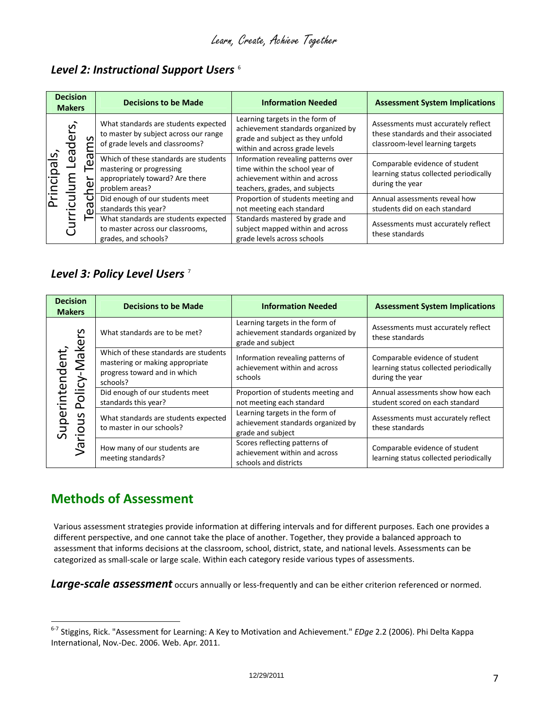## *Level 2: Instructional Support Users* [6](#page-6-3)

| <b>Decision</b><br><b>Makers</b> |          |     | <b>Decisions to be Made</b>                                                                                            | <b>Information Needed</b>                                                                                                                   | <b>Assessment System Implications</b>                                                                           |
|----------------------------------|----------|-----|------------------------------------------------------------------------------------------------------------------------|---------------------------------------------------------------------------------------------------------------------------------------------|-----------------------------------------------------------------------------------------------------------------|
| <u>ળે</u><br>leq<br>rriculu      | Leaders, | S   | What standards are students expected<br>to master by subject across our range<br>of grade levels and classrooms?       | Learning targets in the form of<br>achievement standards organized by<br>grade and subject as they unfold<br>within and across grade levels | Assessments must accurately reflect<br>these standards and their associated<br>classroom-level learning targets |
|                                  |          | σ   | Which of these standards are students<br>mastering or progressing<br>appropriately toward? Are there<br>problem areas? | Information revealing patterns over<br>time within the school year of<br>achievement within and across<br>teachers, grades, and subjects    | Comparable evidence of student<br>learning status collected periodically<br>during the year                     |
|                                  |          | ဥ္မ | Did enough of our students meet<br>standards this year?                                                                | Proportion of students meeting and<br>not meeting each standard                                                                             | Annual assessments reveal how<br>students did on each standard                                                  |
|                                  |          |     | What standards are students expected<br>to master across our classrooms,<br>grades, and schools?                       | Standards mastered by grade and<br>subject mapped within and across<br>grade levels across schools                                          | Assessments must accurately reflect<br>these standards                                                          |

#### <span id="page-6-1"></span>*Level 3: Policy Level Users* [7](#page-6-4)

| <b>Decision</b><br><b>Makers</b> |                                                          | <b>Decisions to be Made</b>                                                                                          | <b>Information Needed</b>                                                                  | <b>Assessment System Implications</b>                                                       |
|----------------------------------|----------------------------------------------------------|----------------------------------------------------------------------------------------------------------------------|--------------------------------------------------------------------------------------------|---------------------------------------------------------------------------------------------|
|                                  | ပ္ပ<br>ake<br>Policy<br>S<br>io<br>$\tilde{\mathcal{L}}$ | What standards are to be met?                                                                                        | Learning targets in the form of<br>achievement standards organized by<br>grade and subject | Assessments must accurately reflect<br>these standards                                      |
| cenden                           |                                                          | Which of these standards are students<br>mastering or making appropriate<br>progress toward and in which<br>schools? | Information revealing patterns of<br>achievement within and across<br>schools              | Comparable evidence of student<br>learning status collected periodically<br>during the year |
|                                  |                                                          | Did enough of our students meet<br>standards this year?                                                              | Proportion of students meeting and<br>not meeting each standard                            | Annual assessments show how each<br>student scored on each standard                         |
| uperint                          |                                                          | What standards are students expected<br>to master in our schools?                                                    | Learning targets in the form of<br>achievement standards organized by<br>grade and subject | Assessments must accurately reflect<br>these standards                                      |
|                                  |                                                          | How many of our students are<br>meeting standards?                                                                   | Scores reflecting patterns of<br>achievement within and across<br>schools and districts    | Comparable evidence of student<br>learning status collected periodically                    |

# <span id="page-6-2"></span>**Methods of Assessment**

 $\overline{a}$ 

Various assessment strategies provide information at differing intervals and for different purposes. Each one provides a different perspective, and one cannot take the place of another. Together, they provide a balanced approach to assessment that informs decisions at the classroom, school, district, state, and national levels. Assessments can be categorized as small‐scale or large scale. Within each category reside various types of assessments.

<span id="page-6-0"></span>*Large‐scale assessment* occurs annually or less‐frequently and can be either criterion referenced or normed.

<span id="page-6-4"></span><span id="page-6-3"></span><sup>6</sup>‐<sup>7</sup> Stiggins, Rick. "Assessment for Learning: A Key to Motivation and Achievement." *EDge* 2.2 (2006). Phi Delta Kappa International, Nov.‐Dec. 2006. Web. Apr. 2011.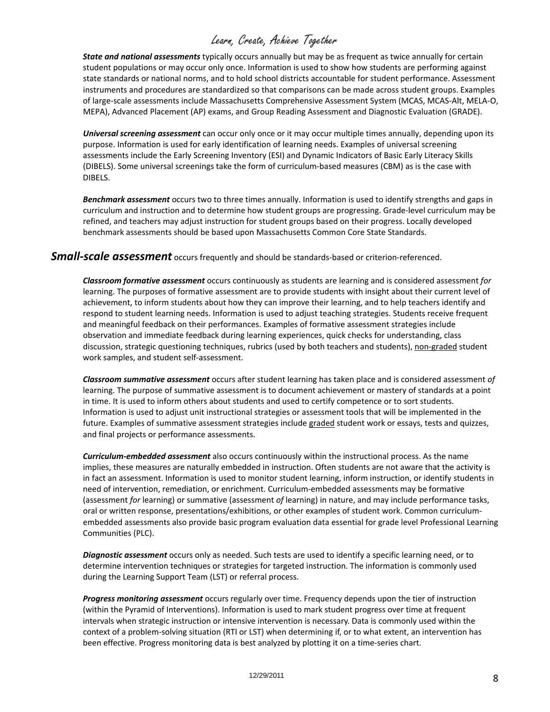*State and national assessments* typically occurs annually but may be as frequent as twice annually for certain student populations or may occur only once. Information is used to show how students are performing against state standards or national norms, and to hold school districts accountable for student performance. Assessment instruments and procedures are standardized so that comparisons can be made across student groups. Examples of large‐scale assessments include Massachusetts Comprehensive Assessment System (MCAS, MCAS‐Alt, MELA‐O, MEPA), Advanced Placement (AP) exams, and Group Reading Assessment and Diagnostic Evaluation (GRADE).

*Universal screening assessment* can occur only once or it may occur multiple times annually, depending upon its purpose. Information is used for early identification of learning needs. Examples of universal screening assessments include the Early Screening Inventory (ESI) and Dynamic Indicators of Basic Early Literacy Skills (DIBELS). Some universal screenings take the form of curriculum-based measures (CBM) as is the case with DIBELS.

*Benchmark assessment* occurs two to three times annually. Information is used to identify strengths and gaps in curriculum and instruction and to determine how student groups are progressing. Grade‐level curriculum may be refined, and teachers may adjust instruction for student groups based on their progress. Locally developed benchmark assessments should be based upon Massachusetts Common Core State Standards.

*Small‐scale assessment* occurs frequently and should be standards‐based or criterion‐referenced.

*Classroom formative assessment* occurs continuously as students are learning and is considered assessment *for* learning. The purposes of formative assessment are to provide students with insight about their current level of achievement, to inform students about how they can improve their learning, and to help teachers identify and respond to student learning needs. Information is used to adjust teaching strategies. Students receive frequent and meaningful feedback on their performances. Examples of formative assessment strategies include observation and immediate feedback during learning experiences, quick checks for understanding, class discussion, strategic questioning techniques, rubrics (used by both teachers and students), non-graded student work samples, and student self‐assessment.

*Classroom summative assessment* occurs after student learning has taken place and is considered assessment *of* learning. The purpose of summative assessment is to document achievement or mastery of standards at a point in time. It is used to inform others about students and used to certify competence or to sort students. Information is used to adjust unit instructional strategies or assessment tools that will be implemented in the future. Examples of summative assessment strategies include graded student work or essays, tests and quizzes, and final projects or performance assessments.

*Curriculum‐embedded assessment* also occurs continuously within the instructional process. As the name implies, these measures are naturally embedded in instruction. Often students are not aware that the activity is in fact an assessment. Information is used to monitor student learning, inform instruction, or identify students in need of intervention, remediation, or enrichment. Curriculum-embedded assessments may be formative (assessment *for* learning) or summative (assessment *of* learning) in nature, and may include performance tasks, oral or written response, presentations/exhibitions, or other examples of student work. Common curriculumembedded assessments also provide basic program evaluation data essential for grade level Professional Learning Communities (PLC).

*Diagnostic assessment* occurs only as needed. Such tests are used to identify a specific learning need, or to determine intervention techniques or strategies for targeted instruction. The information is commonly used during the Learning Support Team (LST) or referral process.

*Progress monitoring assessment* occurs regularly over time. Frequency depends upon the tier of instruction (within the Pyramid of Interventions). Information is used to mark student progress over time at frequent intervals when strategic instruction or intensive intervention is necessary. Data is commonly used within the context of a problem‐solving situation (RTI or LST) when determining if, or to what extent, an intervention has been effective. Progress monitoring data is best analyzed by plotting it on a time-series chart.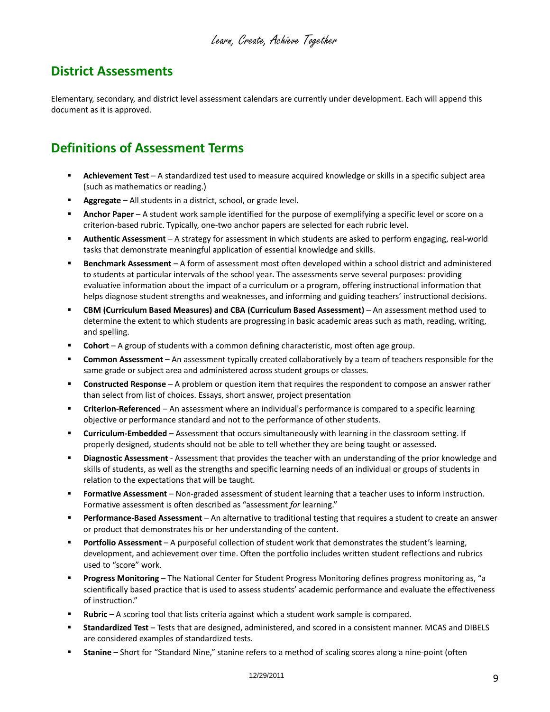## <span id="page-8-0"></span>**District Assessments**

Elementary, secondary, and district level assessment calendars are currently under development. Each will append this document as it is approved.

# **Definitions of Assessment Terms**

- **Achievement Test** A standardized test used to measure acquired knowledge or skills in a specific subject area (such as mathematics or reading.)
- **Aggregate** All students in a district, school, or grade level.
- **Anchor Paper** A student work sample identified for the purpose of exemplifying a specific level or score on a criterion‐based rubric. Typically, one‐two anchor papers are selected for each rubric level.
- **Authentic Assessment** A strategy for assessment in which students are asked to perform engaging, real-world tasks that demonstrate meaningful application of essential knowledge and skills.
- **Benchmark Assessment** A form of assessment most often developed within a school district and administered to students at particular intervals of the school year. The assessments serve several purposes: providing evaluative information about the impact of a curriculum or a program, offering instructional information that helps diagnose student strengths and weaknesses, and informing and guiding teachers' instructional decisions.
- **CBM (Curriculum Based Measures) and CBA (Curriculum Based Assessment)** An assessment method used to determine the extent to which students are progressing in basic academic areas such as math, reading, writing, and spelling.
- **Cohort** A group of students with a common defining characteristic, most often age group.
- **Common Assessment** An assessment typically created collaboratively by a team of teachers responsible for the same grade or subject area and administered across student groups or classes.
- **Constructed Response** A problem or question item that requires the respondent to compose an answer rather than select from list of choices. Essays, short answer, project presentation
- **Criterion-Referenced** An assessment where an individual's performance is compared to a specific learning objective or performance standard and not to the performance of other students.
- **Curriculum-Embedded** Assessment that occurs simultaneously with learning in the classroom setting. If properly designed, students should not be able to tell whether they are being taught or assessed.
- **Diagnostic Assessment** ‐ Assessment that provides the teacher with an understanding of the prior knowledge and skills of students, as well as the strengths and specific learning needs of an individual or groups of students in relation to the expectations that will be taught.
- **Formative Assessment** Non-graded assessment of student learning that a teacher uses to inform instruction. Formative assessment is often described as "assessment *for* learning."
- **Performance‐Based Assessment** An alternative to traditional testing that requires a student to create an answer or product that demonstrates his or her understanding of the content.
- **Portfolio Assessment** A purposeful collection of student work that demonstrates the student's learning, development, and achievement over time. Often the portfolio includes written student reflections and rubrics used to "score" work.
- **Progress Monitoring** The National Center for Student Progress Monitoring defines progress monitoring as, "a scientifically based practice that is used to assess students' academic performance and evaluate the effectiveness of instruction."
- **Rubric** A scoring tool that lists criteria against which a student work sample is compared.
- **Standardized Test** Tests that are designed, administered, and scored in a consistent manner. MCAS and DIBELS are considered examples of standardized tests.
- **Stanine** Short for "Standard Nine," stanine refers to a method of scaling scores along a nine-point (often